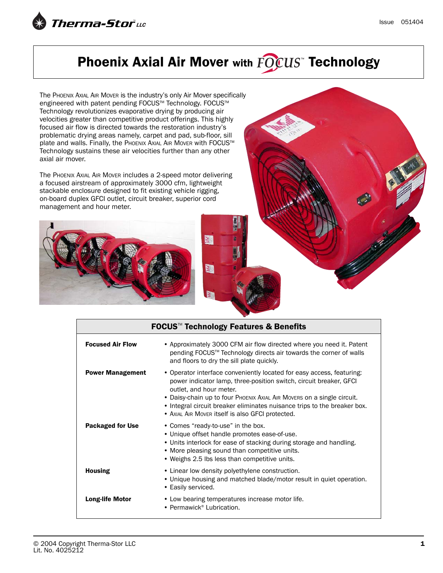

## Phoenix Axial Air Mover with FOCUS" Technology

The PHOENIX AXIAL AIR MOVER is the industry's only Air Mover specifically engineered with patent pending FOCUS™ Technology. FOCUS™ Technology revolutionizes evaporative drying by producing air velocities greater than competitive product offerings. This highly focused air flow is directed towards the restoration industry's problematic drying areas namely, carpet and pad, sub-floor, sill plate and walls. Finally, the PHOENIX AXIAL AIR MOVER with FOCUS™ Technology sustains these air velocities further than any other axial air mover.

The PHOENIX AXIAL AIR MOVER includes a 2-speed motor delivering a focused airstream of approximately 3000 cfm, lightweight stackable enclosure designed to fit existing vehicle rigging, on-board duplex GFCI outlet, circuit breaker, superior cord management and hour meter.





| FOCUS <sup>™</sup> Technology Features & Benefits |                                                                                                                                                                                                                                                                                                                                                                                  |  |
|---------------------------------------------------|----------------------------------------------------------------------------------------------------------------------------------------------------------------------------------------------------------------------------------------------------------------------------------------------------------------------------------------------------------------------------------|--|
| <b>Focused Air Flow</b>                           | • Approximately 3000 CFM air flow directed where you need it. Patent<br>pending FOCUS™ Technology directs air towards the corner of walls<br>and floors to dry the sill plate quickly.                                                                                                                                                                                           |  |
| <b>Power Management</b>                           | • Operator interface conveniently located for easy access, featuring:<br>power indicator lamp, three-position switch, circuit breaker, GFCI<br>outlet, and hour meter.<br>• Daisy-chain up to four Phoenix Axial Air Movers on a single circuit.<br>• Integral circuit breaker eliminates nuisance trips to the breaker box.<br>• Axial Air Mover itself is also GFCI protected. |  |
| <b>Packaged for Use</b>                           | • Comes "ready-to-use" in the box.<br>• Unique offset handle promotes ease-of-use.<br>• Units interlock for ease of stacking during storage and handling.<br>• More pleasing sound than competitive units.<br>• Weighs 2.5 lbs less than competitive units.                                                                                                                      |  |
| <b>Housing</b>                                    | • Linear low density polyethylene construction.<br>• Unique housing and matched blade/motor result in quiet operation.<br>• Easily serviced.                                                                                                                                                                                                                                     |  |
| <b>Long-life Motor</b>                            | • Low bearing temperatures increase motor life.<br>• Permawick® Lubrication.                                                                                                                                                                                                                                                                                                     |  |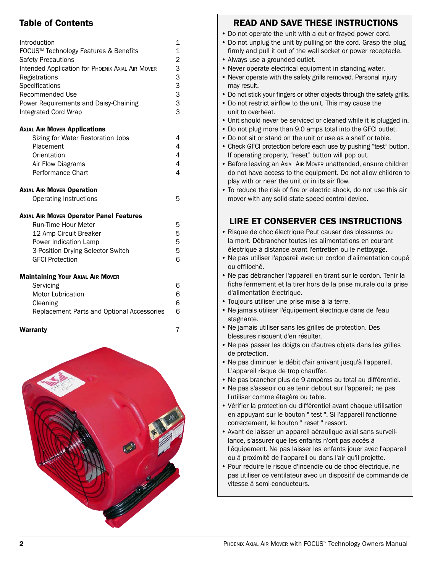## Table of Contents

| Introduction<br>FOCUS <sup>™</sup> Technology Features & Benefits<br><b>Safety Precautions</b><br><b>Intended Application for PHOENIX AXIAL AIR MOVER</b><br>Registrations<br>Specifications<br>Recommended Use<br>Power Requirements and Daisy-Chaining<br><b>Integrated Cord Wrap</b> | 1<br>1<br>$\overline{\mathbf{c}}$<br>$\begin{array}{c}\n 3 \\ 3 \\ 3\n \end{array}$<br>3 |
|-----------------------------------------------------------------------------------------------------------------------------------------------------------------------------------------------------------------------------------------------------------------------------------------|------------------------------------------------------------------------------------------|
| <b>AXIAL AIR MOVER Applications</b>                                                                                                                                                                                                                                                     |                                                                                          |
| Sizing for Water Restoration Jobs                                                                                                                                                                                                                                                       | 4                                                                                        |
| Placement                                                                                                                                                                                                                                                                               | 4                                                                                        |
| Orientation                                                                                                                                                                                                                                                                             | 4<br>4                                                                                   |
| Air Flow Diagrams<br><b>Performance Chart</b>                                                                                                                                                                                                                                           | 4                                                                                        |
| <b>AXIAL AIR MOVER Operation</b><br><b>Operating Instructions</b>                                                                                                                                                                                                                       | 5                                                                                        |
| <b>Axial AIR Mover Operator Panel Features</b>                                                                                                                                                                                                                                          |                                                                                          |
| <b>Run-Time Hour Meter</b>                                                                                                                                                                                                                                                              | 5                                                                                        |
| 12 Amp Circuit Breaker                                                                                                                                                                                                                                                                  | 5                                                                                        |
| Power Indication Lamp                                                                                                                                                                                                                                                                   | 5                                                                                        |
| 3-Position Drying Selector Switch                                                                                                                                                                                                                                                       | 5                                                                                        |
| <b>GFCI Protection</b>                                                                                                                                                                                                                                                                  | 6                                                                                        |
| <b>Maintaining Your Axial AIR MOVER</b>                                                                                                                                                                                                                                                 |                                                                                          |
| Servicing                                                                                                                                                                                                                                                                               | 6                                                                                        |
| <b>Motor Lubrication</b>                                                                                                                                                                                                                                                                | 6                                                                                        |
| Cleaning                                                                                                                                                                                                                                                                                | 6                                                                                        |
| Replacement Parts and Optional Accessories                                                                                                                                                                                                                                              | 6                                                                                        |
| Warranty                                                                                                                                                                                                                                                                                | 7                                                                                        |



## READ AND SAVE THESE INSTRUCTIONS

- Do not operate the unit with a cut or frayed power cord.
- Do not unplug the unit by pulling on the cord. Grasp the plug firmly and pull it out of the wall socket or power receptacle.
- Always use a grounded outlet.
- Never operate electrical equipment in standing water.
- Never operate with the safety grills removed. Personal injury may result.
- Do not stick your fingers or other objects through the safety grills.
- Do not restrict airflow to the unit. This may cause the unit to overheat.
- Unit should never be serviced or cleaned while it is plugged in.
- Do not plug more than 9.0 amps total into the GFCI outlet.
- Do not sit or stand on the unit or use as a shelf or table.
- Check GFCI protection before each use by pushing "test" button. If operating properly, "reset" button will pop out.
- Before leaving an AXIAL AIR MOVER unattended, ensure children do not have access to the equipment. Do not allow children to play with or near the unit or in its air flow.
- To reduce the risk of fire or electric shock, do not use this air mover with any solid-state speed control device.

## LIRE ET CONSERVER CES INSTRUCTIONS

- Risque de choc électrique Peut causer des blessures ou la mort. Débrancher toutes les alimentations en courant électrique à distance avant l'entretien ou le nettoyage.
- Ne pas utiliser l'appareil avec un cordon d'alimentation coupé ou effiloché.
- Ne pas débrancher l'appareil en tirant sur le cordon. Tenir la fiche fermement et la tirer hors de la prise murale ou la prise d'alimentation électrique.
- Toujours utiliser une prise mise à la terre.
- Ne jamais utiliser l'équipement électrique dans de l'eau stagnante.
- Ne jamais utiliser sans les grilles de protection. Des blessures risquent d'en résulter.
- Ne pas passer les doigts ou d'autres objets dans les grilles de protection.
- Ne pas diminuer le débit d'air arrivant jusqu'à l'appareil. L'appareil risque de trop chauffer.
- Ne pas brancher plus de 9 ampères au total au différentiel.
- Ne pas s'asseoir ou se tenir debout sur l'appareil; ne pas l'utiliser comme étagère ou table.
- Vérifier la protection du différentiel avant chaque utilisation en appuyant sur le bouton " test ". Si l'appareil fonctionne correctement, le bouton " reset " ressort.
- Avant de laisser un appareil aéraulique axial sans surveillance, s'assurer que les enfants n'ont pas accès à l'équipement. Ne pas laisser les enfants jouer avec l'appareil ou à proximité de l'appareil ou dans l'air qu'il projette.
- Pour réduire le risque d'incendie ou de choc électrique, ne pas utiliser ce ventilateur avec un dispositif de commande de vitesse à semi-conducteurs.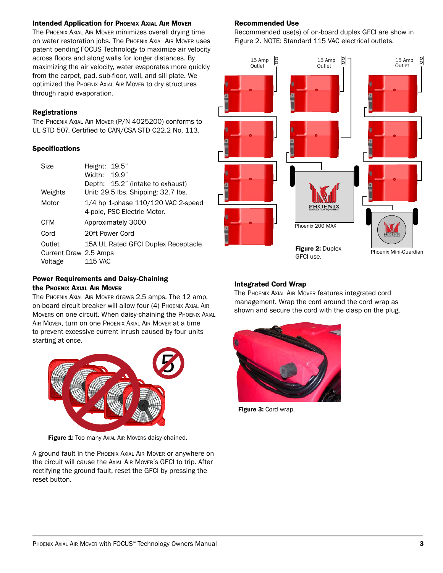#### **Intended Application for PHOENIX AXIAL AIR MOVER**

The PHOENIX AXIAL AIR MOVER minimizes overall drying time on water restoration jobs. The PHOENIX AXIAL AIR MOVER uses patent pending FOCUS Technology to maximize air velocity across floors and along walls for longer distances. By maximizing the air velocity, water evaporates more quickly from the carpet, pad, sub-floor, wall, and sill plate. We optimized the PHOENIX AXIAL AIR MOVER to dry structures through rapid evaporation.

#### Registrations

The PHOENIX AXIAL AIR MOVER (P/N 4025200) conforms to UL STD 507. Certified to CAN/CSA STD C22.2 No. 113.

#### Specifications

| Size                                       | Height: 19.5"<br>Width: 19.9"<br>Depth: 15.2" (intake to exhaust) |
|--------------------------------------------|-------------------------------------------------------------------|
| Weights                                    | Unit: 29.5 lbs. Shipping: 32.7 lbs.                               |
| Motor                                      | 1/4 hp 1-phase 110/120 VAC 2-speed<br>4-pole, PSC Electric Motor. |
| <b>CFM</b>                                 | Approximately 3000                                                |
| Cord                                       | 20ft Power Cord                                                   |
| Outlet<br>Current Draw 2.5 Amps<br>Voltage | 15A UL Rated GFCI Duplex Receptacle<br><b>115 VAC</b>             |

#### Recommended Use

Recommended use(s) of on-board duplex GFCI are show in Figure 2. NOTE: Standard 115 VAC electrical outlets.



#### Power Requirements and Daisy-Chaining the PHOENIX AXIAL AIR MOVER

The PHOENIX AXIAL AIR MOVER draws 2.5 amps. The 12 amp, on-board circuit breaker will allow four (4) PHOENIX AXIAL AIR Movers on one circuit. When daisy-chaining the PHOENIX AXIAL AIR MOVER, turn on one PHOENIX AXIAL AIR MOVER at a time to prevent excessive current inrush caused by four units starting at once.



Figure 1: Too many Axial AIR Movers daisy-chained.

A ground fault in the PHOENIX AXIAL AIR MOVER or anywhere on the circuit will cause the AXIAL AIR MOVER'S GFCI to trip. After rectifying the ground fault, reset the GFCI by pressing the reset button.

#### Integrated Cord Wrap

The PHOENIX AXIAL AIR MOVER features integrated cord management. Wrap the cord around the cord wrap as shown and secure the cord with the clasp on the plug.



Figure 3: Cord wrap.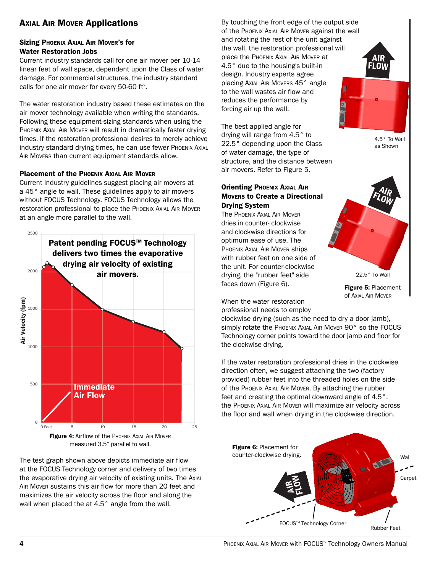## **AXIAL AIR MOVER Applications**

#### Sizing PHOENIX AXIAL AIR MOVER'S for Water Restoration Jobs

Current industry standards call for one air mover per 10-14 linear feet of wall space, dependent upon the Class of water damage. For commercial structures, the industry standard calls for one air mover for every 50-60 ft<sup>2</sup>.

The water restoration industry based these estimates on the air mover technology available when writing the standards. Following these equipment-sizing standards when using the PHOENIX AXIAL AIR MOVER will result in dramatically faster drying times. If the restoration professional desires to merely achieve industry standard drying times, he can use fewer PHOENIX AXIAL AIR MOVERS than current equipment standards allow.

#### Placement of the PHOENIX AXIAL AIR MOVER

Current industry guidelines suggest placing air movers at a 45° angle to wall. These guidelines apply to air movers without FOCUS Technology. FOCUS Technology allows the restoration professional to place the PHOENIX AXIAL AIR MOVER at an angle more parallel to the wall.



measured 3.5" parallel to wall.

The test graph shown above depicts immediate air flow at the FOCUS Technology corner and delivery of two times the evaporative drying air velocity of existing units. The AXIAL AIR MOVER sustains this air flow for more than 20 feet and maximizes the air velocity across the floor and along the wall when placed the at 4.5° angle from the wall.

By touching the front edge of the output side of the PHOENIX AXIAL AIR MOVER against the wall and rotating the rest of the unit against the wall, the restoration professional will place the PHOENIX AXIAL AIR MOVER at 4.5° due to the housing's built-in design. Industry experts agree placing AXIAL AIR MOVERS 45° angle to the wall wastes air flow and reduces the performance by forcing air up the wall.

The best applied angle for drying will range from 4.5° to 22.5° depending upon the Class of water damage, the type of structure, and the distance between air movers. Refer to Figure 5.

#### **Orienting PHOENIX AXIAL AIR** MOVERS to Create a Directional Drying System

The PHOENIX AXIAL AIR MOVER dries in counter- clockwise and clockwise directions for optimum ease of use. The PHOENIX AXIAL AIR MOVER ships with rubber feet on one side of the unit. For counter-clockwise drying, the "rubber feet" side faces down (Figure 6).

When the water restoration



4.5° To Wall as Shown

AIR FLOW

Figure 5: Placement of AXIAL AIR MOVER

professional needs to employ

clockwise drying (such as the need to dry a door jamb), simply rotate the PHOENIX AXIAL AIR MOVER 90° so the FOCUS Technology corner points toward the door jamb and floor for the clockwise drying.

If the water restoration professional dries in the clockwise direction often, we suggest attaching the two (factory provided) rubber feet into the threaded holes on the side of the PHOENIX AXIAL AIR MOVER. By attaching the rubber feet and creating the optimal downward angle of 4.5°, the PHOENIX AXIAL AIR MOVER will maximize air velocity across the floor and wall when drying in the clockwise direction.



**4** PHOENIX AXIAL AIR MOVER with FOCUS™ Technology Owners Manual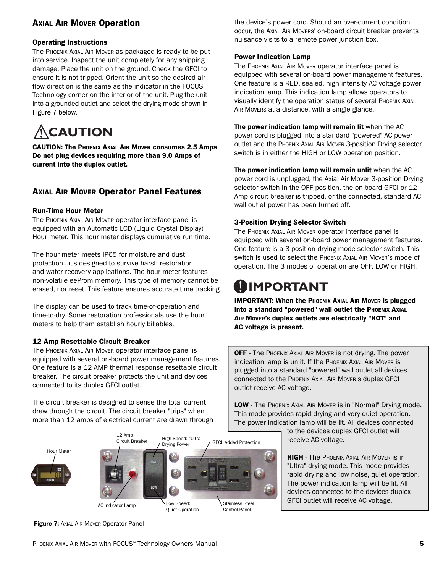## **AXIAL AIR MOVER Operation**

#### Operating Instructions

The PHOENIX AXIAL AIR MOVER as packaged is ready to be put into service. Inspect the unit completely for any shipping damage. Place the unit on the ground. Check the GFCI to ensure it is not tripped. Orient the unit so the desired air flow direction is the same as the indicator in the FOCUS Technology corner on the interior of the unit. Plug the unit into a grounded outlet and select the drying mode shown in Figure 7 below.



CAUTION: The PHOENIX AXIAL AIR MOVER consumes 2.5 Amps Do not plug devices requiring more than 9.0 Amps of current into the duplex outlet.

## AXIAL AIR MOVER Operator Panel Features

#### Run-Time Hour Meter

The PHOENIX AXIAL AIR MOVER operator interface panel is equipped with an Automatic LCD (Liquid Crystal Display) Hour meter. This hour meter displays cumulative run time.

The hour meter meets IP65 for moisture and dust protection…it's designed to survive harsh restoration and water recovery applications. The hour meter features non-volatile eeProm memory. This type of memory cannot be erased, nor reset. This feature ensures accurate time tracking.

The display can be used to track time-of-operation and time-to-dry. Some restoration professionals use the hour meters to help them establish hourly billables.

#### 12 Amp Resettable Circuit Breaker

The PHOENIX AXIAL AIR MOVER operator interface panel is equipped with several on-board power management features. One feature is a 12 AMP thermal response resettable circuit breaker. The circuit breaker protects the unit and devices connected to its duplex GFCI outlet.

The circuit breaker is designed to sense the total current draw through the circuit. The circuit breaker "trips" when more than 12 amps of electrical current are drawn through



the device's power cord. Should an over-current condition occur, the AXIAL AIR MOVERS' on-board circuit breaker prevents nuisance visits to a remote power junction box.

#### Power Indication Lamp

The PHOENIX AXIAL AIR MOVER operator interface panel is equipped with several on-board power management features. One feature is a RED, sealed, high intensity AC voltage power indication lamp. This indication lamp allows operators to visually identify the operation status of several PHOENIX AXIAL AIR MOVERS at a distance, with a single glance.

The power indication lamp will remain lit when the AC power cord is plugged into a standard "powered" AC power outlet and the PHOENIX AXIAL AIR MOVER 3-position Drying selector switch is in either the HIGH or LOW operation position.

The power indication lamp will remain unlit when the AC power cord is unplugged, the Axial Air Mover 3-position Drying selector switch in the OFF position, the on-board GFCI or 12 Amp circuit breaker is tripped, or the connected, standard AC wall outlet power has been turned off.

#### 3-Position Drying Selector Switch

The PHOENIX AXIAL AIR MOVER operator interface panel is equipped with several on-board power management features. One feature is a 3-position drying mode selector switch. This switch is used to select the PHOENIX AXIAL AIR MOVER'S mode of operation. The 3 modes of operation are OFF, LOW or HIGH.

# **IMPORTANT**

IMPORTANT: When the PHOENIX AXIAL AIR MOVER is plugged into a standard "powered" wall outlet the PHOENIX AXIAL AIR MOVER'S duplex outlets are electrically "HOT" and AC voltage is present.

**OFF** - The PHOENIX AXIAL AIR MOVER is not drying. The power indication lamp is unlit. If the PHOENIX AXIAL AIR MOVER is plugged into a standard "powered" wall outlet all devices connected to the PHOENIX AXIAL AIR MOVER'S duplex GFCI outlet receive AC voltage.

LOW - The PHOENIX AXIAL AIR MOVER is in "Normal" Drying mode. This mode provides rapid drying and very quiet operation. The power indication lamp will be lit. All devices connected

to the devices duplex GFCI outlet will receive AC voltage.

**HIGH** - The PHOENIX AXIAL AIR MOVER IS IN "Ultra" drying mode. This mode provides rapid drying and low noise, quiet operation. The power indication lamp will be lit. All devices connected to the devices duplex GFCI outlet will receive AC voltage.

**Figure 7: AXIAL AIR MOVER Operator Panel**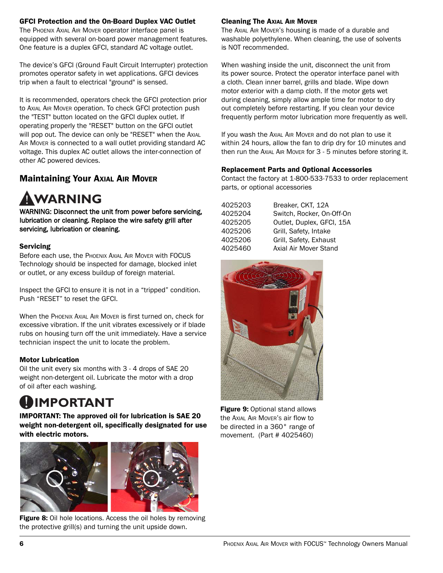#### GFCI Protection and the On-Board Duplex VAC Outlet

The PHOENIX AXIAL AIR MOVER operator interface panel is equipped with several on-board power management features. One feature is a duplex GFCI, standard AC voltage outlet.

The device's GFCI (Ground Fault Circuit Interrupter) protection promotes operator safety in wet applications. GFCI devices trip when a fault to electrical "ground" is sensed.

It is recommended, operators check the GFCI protection prior to AXIAL AIR MOVER operation. To check GFCI protection push the "TEST" button located on the GFCI duplex outlet. If operating properly the "RESET" button on the GFCI outlet will pop out. The device can only be "RESET" when the AXIAL AIR MOVER is connected to a wall outlet providing standard AC voltage. This duplex AC outlet allows the inter-connection of other AC powered devices.

## Maintaining Your AXIAL AIR MOVER

# **WARNING**

WARNING: Disconnect the unit from power before servicing, lubrication or cleaning. Replace the wire safety grill after servicing, lubrication or cleaning.

#### **Servicing**

Before each use, the PHOENIX AXIAL AIR MOVER with FOCUS Technology should be inspected for damage, blocked inlet or outlet, or any excess buildup of foreign material.

Inspect the GFCI to ensure it is not in a "tripped" condition. Push "RESET" to reset the GFCI.

When the PHOENIX AXIAL AIR MOVER is first turned on, check for excessive vibration. If the unit vibrates excessively or if blade rubs on housing turn off the unit immediately. Have a service technician inspect the unit to locate the problem.

#### Motor Lubrication

Oil the unit every six months with 3 - 4 drops of SAE 20 weight non-detergent oil. Lubricate the motor with a drop of oil after each washing.

# **IMPORTANT**

IMPORTANT: The approved oil for lubrication is SAE 20 weight non-detergent oil, specifically designated for use with electric motors.



Figure 8: Oil hole locations. Access the oil holes by removing the protective grill(s) and turning the unit upside down.

#### Cleaning The AXIAL AIR MOVER

The AXIAL AIR MOVER'S housing is made of a durable and washable polyethylene. When cleaning, the use of solvents is NOT recommended.

When washing inside the unit, disconnect the unit from its power source. Protect the operator interface panel with a cloth. Clean inner barrel, grills and blade. Wipe down motor exterior with a damp cloth. If the motor gets wet during cleaning, simply allow ample time for motor to dry out completely before restarting. If you clean your device frequently perform motor lubrication more frequently as well.

If you wash the AXIAL AIR MOVER and do not plan to use it within 24 hours, allow the fan to drip dry for 10 minutes and then run the AXIAL AIR MOVER for 3 - 5 minutes before storing it.

#### Replacement Parts and Optional Accessories

Contact the factory at 1-800-533-7533 to order replacement parts, or optional accessories

| 4025203 | Breaker, CKT, 12A         |
|---------|---------------------------|
| 4025204 | Switch, Rocker, On-Off-On |
| 4025205 | Outlet, Duplex, GFCI, 15A |
| 4025206 | Grill, Safety, Intake     |
| 4025206 | Grill, Safety, Exhaust    |
| 4025460 | Axial Air Mover Stand     |



Figure 9: Optional stand allows the AXIAL AIR MOVER'S air flow to be directed in a 360° range of movement. (Part # 4025460)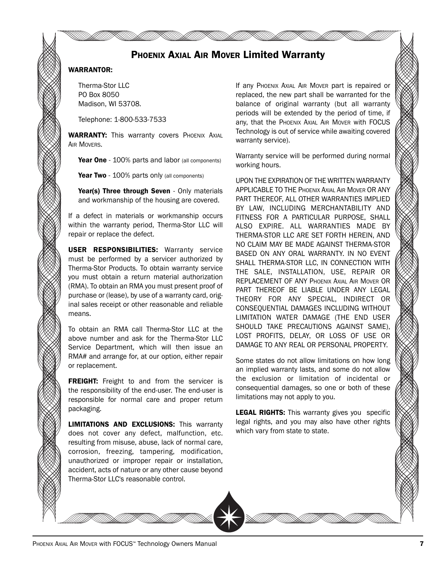## PHOENIX AXIAL AIR MOVER Limited Warranty

#### WARRANTOR:

Therma-Stor LLC PO Box 8050 Madison, WI 53708.

Telephone: 1-800-533-7533

WARRANTY: This warranty covers PHOENIX AXIAL **AIR MOVERS.** 

Year One - 100% parts and labor (all components)

Year Two - 100% parts only (all components)

Year(s) Three through Seven - Only materials and workmanship of the housing are covered.

If a defect in materials or workmanship occurs within the warranty period, Therma-Stor LLC will repair or replace the defect.

USER RESPONSIBILITIES: Warranty service must be performed by a servicer authorized by Therma-Stor Products. To obtain warranty service you must obtain a return material authorization (RMA). To obtain an RMA you must present proof of purchase or (lease), by use of a warranty card, original sales receipt or other reasonable and reliable means.

To obtain an RMA call Therma-Stor LLC at the above number and ask for the Therma-Stor LLC Service Department, which will then issue an RMA# and arrange for, at our option, either repair or replacement.

FREIGHT: Freight to and from the servicer is the responsibility of the end-user. The end-user is responsible for normal care and proper return packaging.

LIMITATIONS AND EXCLUSIONS: This warranty does not cover any defect, malfunction, etc. resulting from misuse, abuse, lack of normal care, corrosion, freezing, tampering, modification, unauthorized or improper repair or installation, accident, acts of nature or any other cause beyond Therma-Stor LLC's reasonable control.

If any PHOENIX AXIAL AIR MOVER part is repaired or replaced, the new part shall be warranted for the balance of original warranty (but all warranty periods will be extended by the period of time, if any, that the PHOENIX AXIAL AIR MOVER with FOCUS Technology is out of service while awaiting covered warranty service).

Warranty service will be performed during normal working hours.

UPON THE EXPIRATION OF THE WRITTEN WARRANTY APPLICABLE TO THE PHOENIX AXIAL AIR MOVER OR ANY PART THEREOF, ALL OTHER WARRANTIES IMPLIED BY LAW, INCLUDING MERCHANTABILITY AND FITNESS FOR A PARTICULAR PURPOSE, SHALL ALSO EXPIRE. ALL WARRANTIES MADE BY THERMA-STOR LLC ARE SET FORTH HEREIN, AND NO CLAIM MAY BE MADE AGAINST THERMA-STOR BASED ON ANY ORAL WARRANTY. IN NO EVENT SHALL THERMA-STOR LLC, IN CONNECTION WITH THE SALE, INSTALLATION, USE, REPAIR OR REPLACEMENT OF ANY PHOENIX AXIAL AIR MOVER OR PART THEREOF BE LIABLE UNDER ANY LEGAL THEORY FOR ANY SPECIAL, INDIRECT OR CONSEQUENTIAL DAMAGES INCLUDING WITHOUT LIMITATION WATER DAMAGE (THE END USER SHOULD TAKE PRECAUTIONS AGAINST SAME), LOST PROFITS, DELAY, OR LOSS OF USE OR DAMAGE TO ANY REAL OR PERSONAL PROPERTY.

Some states do not allow limitations on how long an implied warranty lasts, and some do not allow the exclusion or limitation of incidental or consequential damages, so one or both of these limitations may not apply to you.

**LEGAL RIGHTS:** This warranty gives you specific legal rights, and you may also have other rights which vary from state to state.